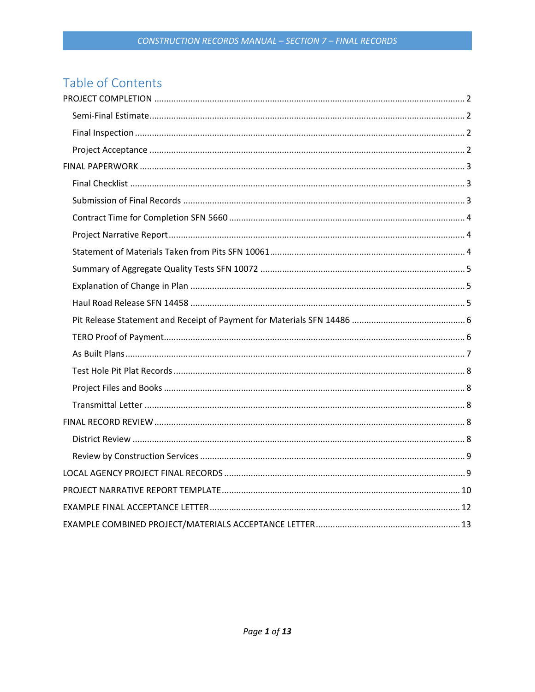# Table of Contents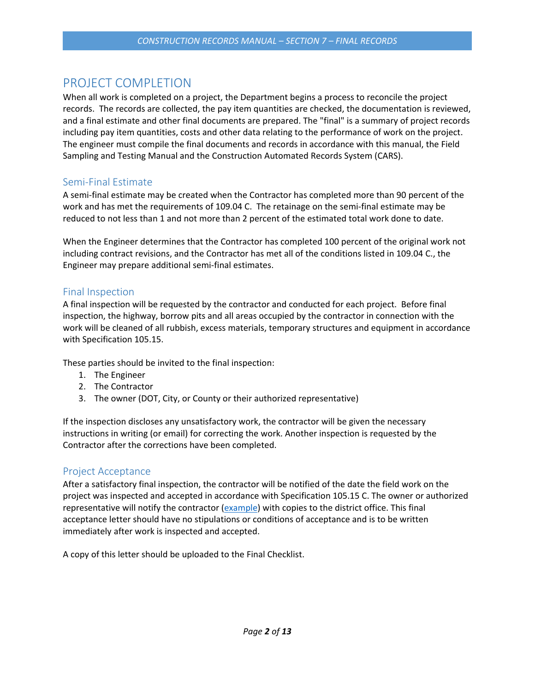## <span id="page-1-0"></span>PROJECT COMPLETION

When all work is completed on a project, the Department begins a process to reconcile the project records. The records are collected, the pay item quantities are checked, the documentation is reviewed, and a final estimate and other final documents are prepared. The "final" is a summary of project records including pay item quantities, costs and other data relating to the performance of work on the project. The engineer must compile the final documents and records in accordance with this manual, the Field Sampling and Testing Manual and the Construction Automated Records System (CARS).

## <span id="page-1-1"></span>Semi-Final Estimate

A semi-final estimate may be created when the Contractor has completed more than 90 percent of the work and has met the requirements of 109.04 C. The retainage on the semi-final estimate may be reduced to not less than 1 and not more than 2 percent of the estimated total work done to date.

When the Engineer determines that the Contractor has completed 100 percent of the original work not including contract revisions, and the Contractor has met all of the conditions listed in 109.04 C., the Engineer may prepare additional semi-final estimates.

## <span id="page-1-2"></span>Final Inspection

A final inspection will be requested by the contractor and conducted for each project. Before final inspection, the highway, borrow pits and all areas occupied by the contractor in connection with the work will be cleaned of all rubbish, excess materials, temporary structures and equipment in accordance with Specification 105.15.

These parties should be invited to the final inspection:

- 1. The Engineer
- 2. The Contractor
- 3. The owner (DOT, City, or County or their authorized representative)

If the inspection discloses any unsatisfactory work, the contractor will be given the necessary instructions in writing (or email) for correcting the work. Another inspection is requested by the Contractor after the corrections have been completed.

## <span id="page-1-3"></span>Project Acceptance

After a satisfactory final inspection, the contractor will be notified of the date the field work on the project was inspected and accepted in accordance with Specification 105.15 C. The owner or authorized representative will notify the contractor [\(example\)](#page-12-1) with copies to the district office. This final acceptance letter should have no stipulations or conditions of acceptance and is to be written immediately after work is inspected and accepted.

A copy of this letter should be uploaded to the Final Checklist.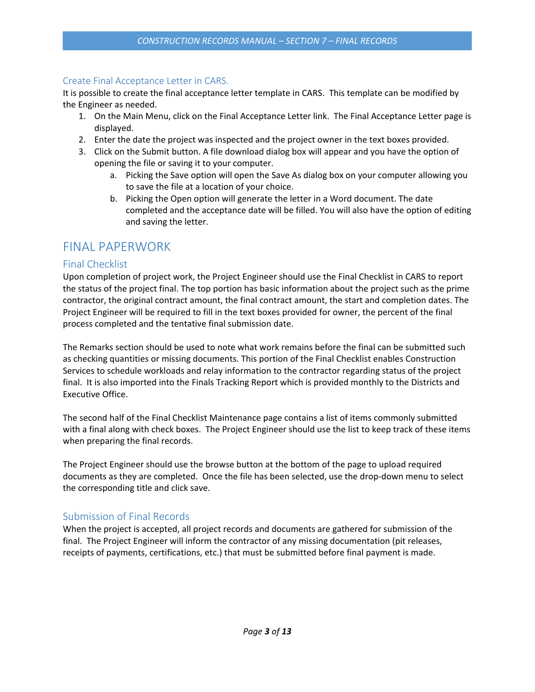#### Create Final Acceptance Letter in CARS.

It is possible to create the final acceptance letter template in CARS. This template can be modified by the Engineer as needed.

- 1. On the Main Menu, click on the Final Acceptance Letter link. The Final Acceptance Letter page is displayed.
- 2. Enter the date the project was inspected and the project owner in the text boxes provided.
- 3. Click on the Submit button. A file download dialog box will appear and you have the option of opening the file or saving it to your computer.
	- a. Picking the Save option will open the Save As dialog box on your computer allowing you to save the file at a location of your choice.
	- b. Picking the Open option will generate the letter in a Word document. The date completed and the acceptance date will be filled. You will also have the option of editing and saving the letter.

## <span id="page-2-0"></span>FINAL PAPERWORK

### <span id="page-2-1"></span>Final Checklist

Upon completion of project work, the Project Engineer should use the Final Checklist in CARS to report the status of the project final. The top portion has basic information about the project such as the prime contractor, the original contract amount, the final contract amount, the start and completion dates. The Project Engineer will be required to fill in the text boxes provided for owner, the percent of the final process completed and the tentative final submission date.

The Remarks section should be used to note what work remains before the final can be submitted such as checking quantities or missing documents. This portion of the Final Checklist enables Construction Services to schedule workloads and relay information to the contractor regarding status of the project final. It is also imported into the Finals Tracking Report which is provided monthly to the Districts and Executive Office.

The second half of the Final Checklist Maintenance page contains a list of items commonly submitted with a final along with check boxes. The Project Engineer should use the list to keep track of these items when preparing the final records.

The Project Engineer should use the browse button at the bottom of the page to upload required documents as they are completed. Once the file has been selected, use the drop-down menu to select the corresponding title and click save.

#### <span id="page-2-2"></span>Submission of Final Records

When the project is accepted, all project records and documents are gathered for submission of the final. The Project Engineer will inform the contractor of any missing documentation (pit releases, receipts of payments, certifications, etc.) that must be submitted before final payment is made.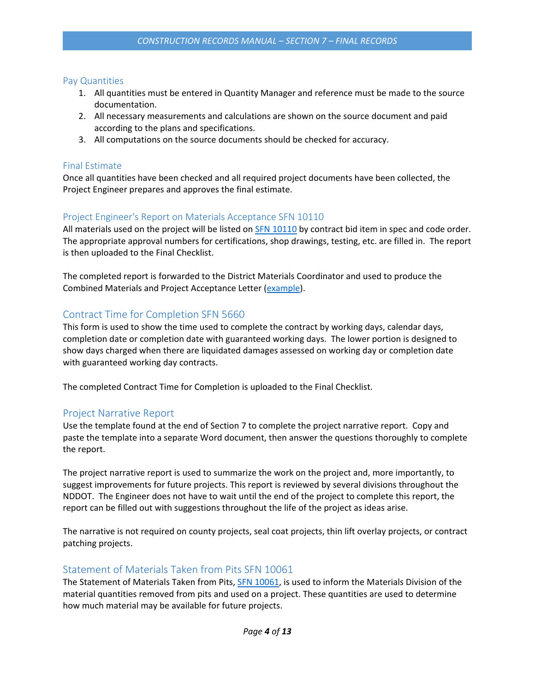#### Pay Quantities

- 1. All quantities must be entered in Quantity Manager and reference must be made to the source documentation.
- 2. All necessary measurements and calculations are shown on the source document and paid according to the plans and specifications.
- 3. All computations on the source documents should be checked for accuracy.

#### Final Estimate

Once all quantities have been checked and all required project documents have been collected, the Project Engineer prepares and approves the final estimate.

#### Project Engineer's Report on Materials Acceptance SFN 10110

All materials used on the project will be listed on **SFN 10110** by contract bid item in spec and code order. The appropriate approval numbers for certifications, shop drawings, testing, etc. are filled in. The report is then uploaded to the Final Checklist.

The completed report is forwarded to the District Materials Coordinator and used to produce the Combined Materials and Project Acceptance Letter [\(example\)](#page-12-1).

### <span id="page-3-0"></span>Contract Time for Completion SFN 5660

This form is used to show the time used to complete the contract by working days, calendar days, completion date or completion date with guaranteed working days. The lower portion is designed to show days charged when there are liquidated damages assessed on working day or completion date with guaranteed working day contracts.

The completed Contract Time for Completion is uploaded to the Final Checklist.

#### <span id="page-3-1"></span>Project Narrative Report

Use the template found at the end of Section 7 to complete the project narrative report. Copy and paste the template into a separate Word document, then answer the questions thoroughly to complete the report.

The project narrative report is used to summarize the work on the project and, more importantly, to suggest improvements for future projects. This report is reviewed by several divisions throughout the NDDOT. The Engineer does not have to wait until the end of the project to complete this report, the report can be filled out with suggestions throughout the life of the project as ideas arise.

The narrative is not required on county projects, seal coat projects, thin lift overlay projects, or contract patching projects.

#### <span id="page-3-2"></span>Statement of Materials Taken from Pits SFN 10061

The Statement of Materials Taken from Pits, [SFN 10061,](http://www.dot.nd.gov/forms/sfn10061.pdf) is used to inform the Materials Division of the material quantities removed from pits and used on a project. These quantities are used to determine how much material may be available for future projects.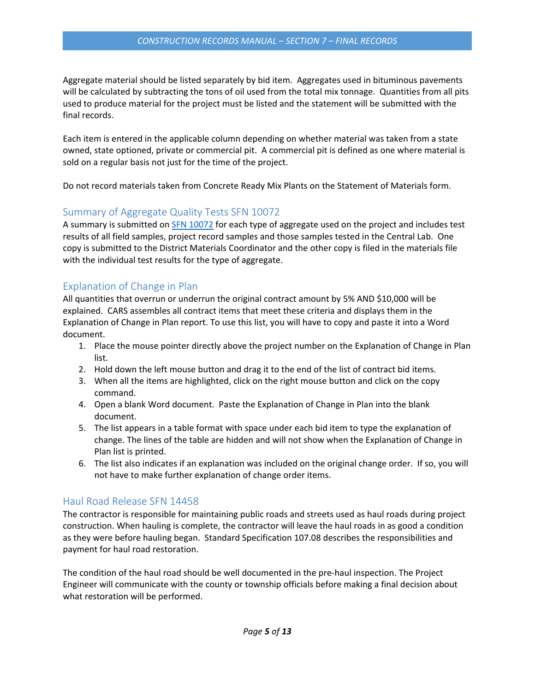Aggregate material should be listed separately by bid item. Aggregates used in bituminous pavements will be calculated by subtracting the tons of oil used from the total mix tonnage. Quantities from all pits used to produce material for the project must be listed and the statement will be submitted with the final records.

Each item is entered in the applicable column depending on whether material was taken from a state owned, state optioned, private or commercial pit. A commercial pit is defined as one where material is sold on a regular basis not just for the time of the project.

Do not record materials taken from Concrete Ready Mix Plants on the Statement of Materials form.

## <span id="page-4-0"></span>Summary of Aggregate Quality Tests SFN 10072

A summary is submitted o[n SFN 10072](http://www.dot.nd.gov/forms/sfn10072.pdf) for each type of aggregate used on the project and includes test results of all field samples, project record samples and those samples tested in the Central Lab. One copy is submitted to the District Materials Coordinator and the other copy is filed in the materials file with the individual test results for the type of aggregate.

## <span id="page-4-1"></span>Explanation of Change in Plan

All quantities that overrun or underrun the original contract amount by 5% AND \$10,000 will be explained. CARS assembles all contract items that meet these criteria and displays them in the Explanation of Change in Plan report. To use this list, you will have to copy and paste it into a Word document.

- 1. Place the mouse pointer directly above the project number on the Explanation of Change in Plan list.
- 2. Hold down the left mouse button and drag it to the end of the list of contract bid items.
- 3. When all the items are highlighted, click on the right mouse button and click on the copy command.
- 4. Open a blank Word document. Paste the Explanation of Change in Plan into the blank document.
- 5. The list appears in a table format with space under each bid item to type the explanation of change. The lines of the table are hidden and will not show when the Explanation of Change in Plan list is printed.
- 6. The list also indicates if an explanation was included on the original change order. If so, you will not have to make further explanation of change order items.

#### <span id="page-4-2"></span>Haul Road Release SFN 14458

The contractor is responsible for maintaining public roads and streets used as haul roads during project construction. When hauling is complete, the contractor will leave the haul roads in as good a condition as they were before hauling began. Standard Specification 107.08 describes the responsibilities and payment for haul road restoration.

The condition of the haul road should be well documented in the pre-haul inspection. The Project Engineer will communicate with the county or township officials before making a final decision about what restoration will be performed.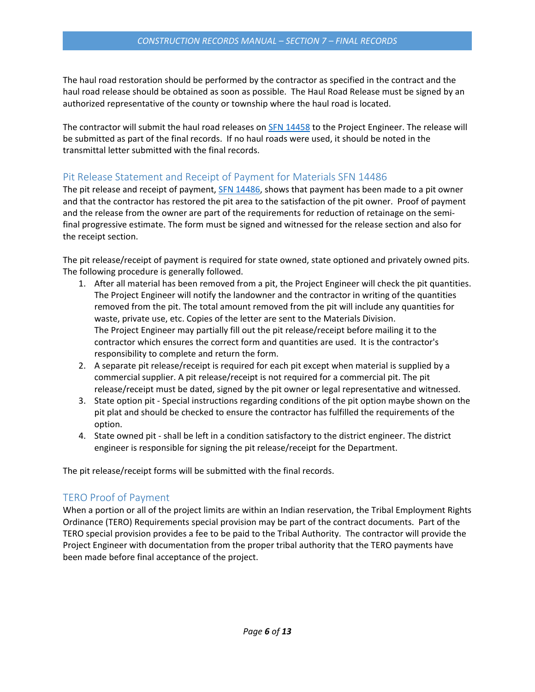The haul road restoration should be performed by the contractor as specified in the contract and the haul road release should be obtained as soon as possible. The Haul Road Release must be signed by an authorized representative of the county or township where the haul road is located.

The contractor will submit the haul road releases on **SFN 14458** to the Project Engineer. The release will be submitted as part of the final records. If no haul roads were used, it should be noted in the transmittal letter submitted with the final records.

### <span id="page-5-0"></span>Pit Release Statement and Receipt of Payment for Materials SFN 14486

The pit release and receipt of payment, [SFN 14486,](http://www.dot.nd.gov/forms/sfn14486.pdf) shows that payment has been made to a pit owner and that the contractor has restored the pit area to the satisfaction of the pit owner. Proof of payment and the release from the owner are part of the requirements for reduction of retainage on the semifinal progressive estimate. The form must be signed and witnessed for the release section and also for the receipt section.

The pit release/receipt of payment is required for state owned, state optioned and privately owned pits. The following procedure is generally followed.

- 1. After all material has been removed from a pit, the Project Engineer will check the pit quantities. The Project Engineer will notify the landowner and the contractor in writing of the quantities removed from the pit. The total amount removed from the pit will include any quantities for waste, private use, etc. Copies of the letter are sent to the Materials Division. The Project Engineer may partially fill out the pit release/receipt before mailing it to the contractor which ensures the correct form and quantities are used. It is the contractor's responsibility to complete and return the form.
- 2. A separate pit release/receipt is required for each pit except when material is supplied by a commercial supplier. A pit release/receipt is not required for a commercial pit. The pit release/receipt must be dated, signed by the pit owner or legal representative and witnessed.
- 3. State option pit Special instructions regarding conditions of the pit option maybe shown on the pit plat and should be checked to ensure the contractor has fulfilled the requirements of the option.
- 4. State owned pit shall be left in a condition satisfactory to the district engineer. The district engineer is responsible for signing the pit release/receipt for the Department.

The pit release/receipt forms will be submitted with the final records.

## <span id="page-5-1"></span>TERO Proof of Payment

When a portion or all of the project limits are within an Indian reservation, the Tribal Employment Rights Ordinance (TERO) Requirements special provision may be part of the contract documents. Part of the TERO special provision provides a fee to be paid to the Tribal Authority. The contractor will provide the Project Engineer with documentation from the proper tribal authority that the TERO payments have been made before final acceptance of the project.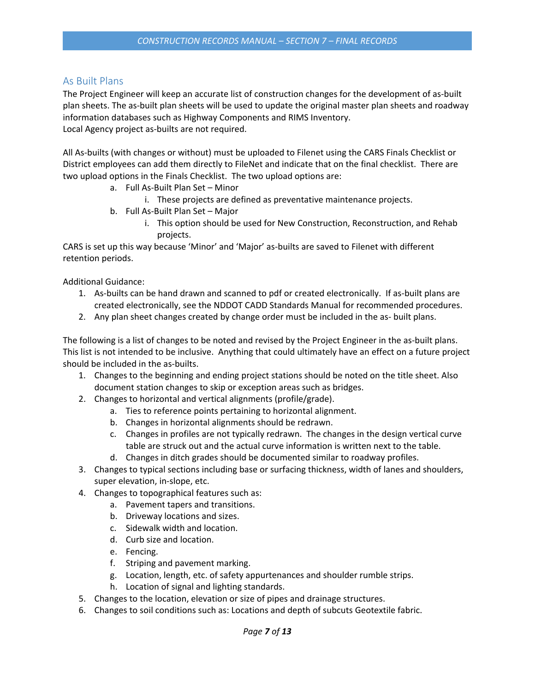#### <span id="page-6-0"></span>As Built Plans

The Project Engineer will keep an accurate list of construction changes for the development of as-built plan sheets. The as-built plan sheets will be used to update the original master plan sheets and roadway information databases such as Highway Components and RIMS Inventory. Local Agency project as-builts are not required.

All As-builts (with changes or without) must be uploaded to Filenet using the CARS Finals Checklist or District employees can add them directly to FileNet and indicate that on the final checklist. There are two upload options in the Finals Checklist. The two upload options are:

- a. Full As-Built Plan Set Minor
	- i. These projects are defined as preventative maintenance projects.
- b. Full As-Built Plan Set Major
	- i. This option should be used for New Construction, Reconstruction, and Rehab projects.

CARS is set up this way because 'Minor' and 'Major' as-builts are saved to Filenet with different retention periods.

Additional Guidance:

- 1. As-builts can be hand drawn and scanned to pdf or created electronically. If as-built plans are created electronically, see the NDDOT CADD Standards Manual for recommended procedures.
- 2. Any plan sheet changes created by change order must be included in the as- built plans.

The following is a list of changes to be noted and revised by the Project Engineer in the as-built plans. This list is not intended to be inclusive. Anything that could ultimately have an effect on a future project should be included in the as-builts.

- 1. Changes to the beginning and ending project stations should be noted on the title sheet. Also document station changes to skip or exception areas such as bridges.
- 2. Changes to horizontal and vertical alignments (profile/grade).
	- a. Ties to reference points pertaining to horizontal alignment.
	- b. Changes in horizontal alignments should be redrawn.
	- c. Changes in profiles are not typically redrawn. The changes in the design vertical curve table are struck out and the actual curve information is written next to the table.
	- d. Changes in ditch grades should be documented similar to roadway profiles.
- 3. Changes to typical sections including base or surfacing thickness, width of lanes and shoulders, super elevation, in-slope, etc.
- 4. Changes to topographical features such as:
	- a. Pavement tapers and transitions.
	- b. Driveway locations and sizes.
	- c. Sidewalk width and location.
	- d. Curb size and location.
	- e. Fencing.
	- f. Striping and pavement marking.
	- g. Location, length, etc. of safety appurtenances and shoulder rumble strips.
	- h. Location of signal and lighting standards.
- 5. Changes to the location, elevation or size of pipes and drainage structures.
- 6. Changes to soil conditions such as: Locations and depth of subcuts Geotextile fabric.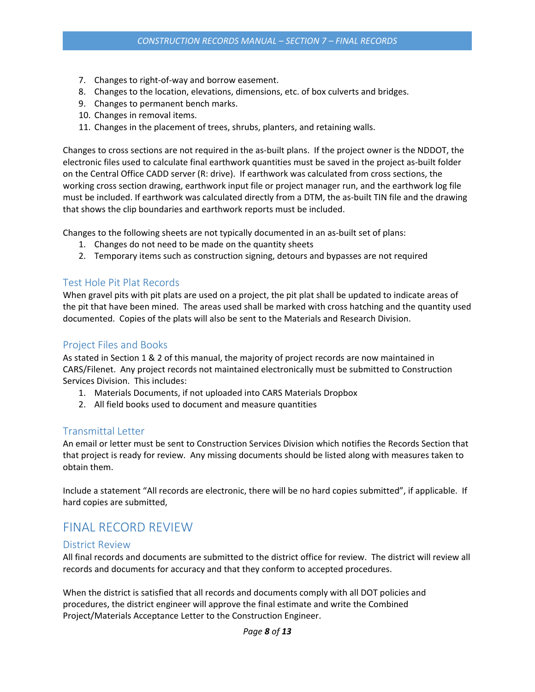- 7. Changes to right-of-way and borrow easement.
- 8. Changes to the location, elevations, dimensions, etc. of box culverts and bridges.
- 9. Changes to permanent bench marks.
- 10. Changes in removal items.
- 11. Changes in the placement of trees, shrubs, planters, and retaining walls.

Changes to cross sections are not required in the as-built plans. If the project owner is the NDDOT, the electronic files used to calculate final earthwork quantities must be saved in the project as-built folder on the Central Office CADD server (R: drive). If earthwork was calculated from cross sections, the working cross section drawing, earthwork input file or project manager run, and the earthwork log file must be included. If earthwork was calculated directly from a DTM, the as-built TIN file and the drawing that shows the clip boundaries and earthwork reports must be included.

Changes to the following sheets are not typically documented in an as-built set of plans:

- 1. Changes do not need to be made on the quantity sheets
- 2. Temporary items such as construction signing, detours and bypasses are not required

### <span id="page-7-0"></span>Test Hole Pit Plat Records

When gravel pits with pit plats are used on a project, the pit plat shall be updated to indicate areas of the pit that have been mined. The areas used shall be marked with cross hatching and the quantity used documented. Copies of the plats will also be sent to the Materials and Research Division.

#### <span id="page-7-1"></span>Project Files and Books

As stated in Section 1 & 2 of this manual, the majority of project records are now maintained in CARS/Filenet. Any project records not maintained electronically must be submitted to Construction Services Division. This includes:

- 1. Materials Documents, if not uploaded into CARS Materials Dropbox
- 2. All field books used to document and measure quantities

#### <span id="page-7-2"></span>Transmittal Letter

An email or letter must be sent to Construction Services Division which notifies the Records Section that that project is ready for review. Any missing documents should be listed along with measures taken to obtain them.

Include a statement "All records are electronic, there will be no hard copies submitted", if applicable. If hard copies are submitted,

## <span id="page-7-3"></span>FINAL RECORD REVIEW

#### <span id="page-7-4"></span>District Review

All final records and documents are submitted to the district office for review. The district will review all records and documents for accuracy and that they conform to accepted procedures.

When the district is satisfied that all records and documents comply with all DOT policies and procedures, the district engineer will approve the final estimate and write the Combined Project/Materials Acceptance Letter to the Construction Engineer.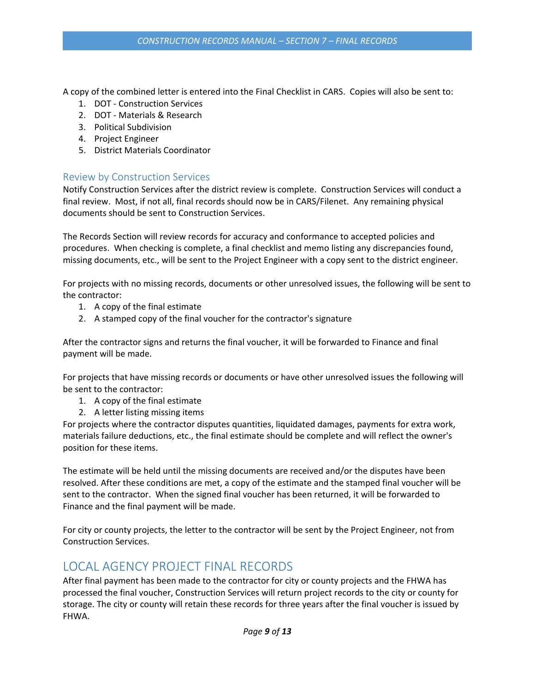A copy of the combined letter is entered into the Final Checklist in CARS. Copies will also be sent to:

- 1. DOT Construction Services
- 2. DOT Materials & Research
- 3. Political Subdivision
- 4. Project Engineer
- 5. District Materials Coordinator

#### <span id="page-8-0"></span>Review by Construction Services

Notify Construction Services after the district review is complete. Construction Services will conduct a final review. Most, if not all, final records should now be in CARS/Filenet. Any remaining physical documents should be sent to Construction Services.

The Records Section will review records for accuracy and conformance to accepted policies and procedures. When checking is complete, a final checklist and memo listing any discrepancies found, missing documents, etc., will be sent to the Project Engineer with a copy sent to the district engineer.

For projects with no missing records, documents or other unresolved issues, the following will be sent to the contractor:

- 1. A copy of the final estimate
- 2. A stamped copy of the final voucher for the contractor's signature

After the contractor signs and returns the final voucher, it will be forwarded to Finance and final payment will be made.

For projects that have missing records or documents or have other unresolved issues the following will be sent to the contractor:

- 1. A copy of the final estimate
- 2. A letter listing missing items

For projects where the contractor disputes quantities, liquidated damages, payments for extra work, materials failure deductions, etc., the final estimate should be complete and will reflect the owner's position for these items.

The estimate will be held until the missing documents are received and/or the disputes have been resolved. After these conditions are met, a copy of the estimate and the stamped final voucher will be sent to the contractor. When the signed final voucher has been returned, it will be forwarded to Finance and the final payment will be made.

For city or county projects, the letter to the contractor will be sent by the Project Engineer, not from Construction Services.

## <span id="page-8-1"></span>LOCAL AGENCY PROJECT FINAL RECORDS

After final payment has been made to the contractor for city or county projects and the FHWA has processed the final voucher, Construction Services will return project records to the city or county for storage. The city or county will retain these records for three years after the final voucher is issued by FHWA.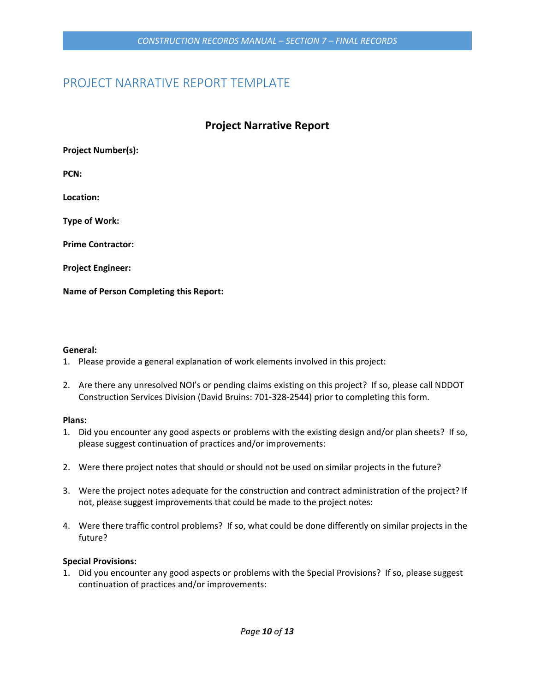## <span id="page-9-0"></span>PROJECT NARRATIVE REPORT TEMPLATE

## **Project Narrative Report**

**Project Number(s):**

**PCN:**

**Location:**

**Type of Work:**

**Prime Contractor:**

**Project Engineer:**

**Name of Person Completing this Report:** 

#### **General:**

- 1. Please provide a general explanation of work elements involved in this project:
- 2. Are there any unresolved NOI's or pending claims existing on this project? If so, please call NDDOT Construction Services Division (David Bruins: 701-328-2544) prior to completing this form.

#### **Plans:**

- 1. Did you encounter any good aspects or problems with the existing design and/or plan sheets? If so, please suggest continuation of practices and/or improvements:
- 2. Were there project notes that should or should not be used on similar projects in the future?
- 3. Were the project notes adequate for the construction and contract administration of the project? If not, please suggest improvements that could be made to the project notes:
- 4. Were there traffic control problems? If so, what could be done differently on similar projects in the future?

#### **Special Provisions:**

1. Did you encounter any good aspects or problems with the Special Provisions? If so, please suggest continuation of practices and/or improvements: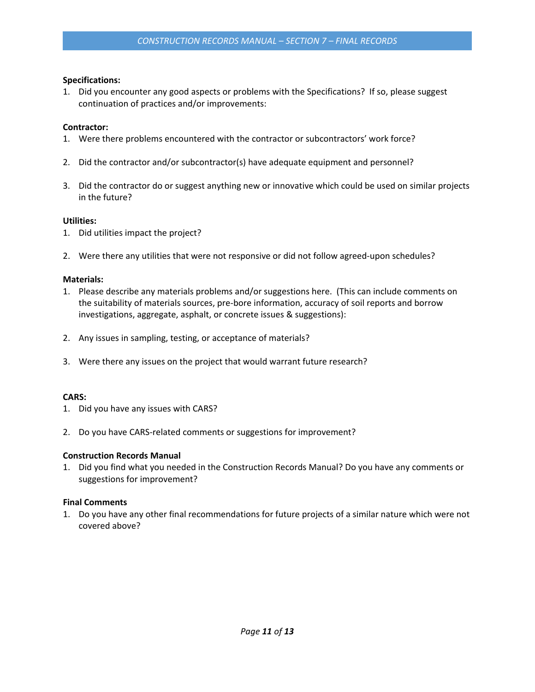#### **Specifications:**

1. Did you encounter any good aspects or problems with the Specifications? If so, please suggest continuation of practices and/or improvements:

#### **Contractor:**

- 1. Were there problems encountered with the contractor or subcontractors' work force?
- 2. Did the contractor and/or subcontractor(s) have adequate equipment and personnel?
- 3. Did the contractor do or suggest anything new or innovative which could be used on similar projects in the future?

#### **Utilities:**

- 1. Did utilities impact the project?
- 2. Were there any utilities that were not responsive or did not follow agreed-upon schedules?

#### **Materials:**

- 1. Please describe any materials problems and/or suggestions here. (This can include comments on the suitability of materials sources, pre-bore information, accuracy of soil reports and borrow investigations, aggregate, asphalt, or concrete issues & suggestions):
- 2. Any issues in sampling, testing, or acceptance of materials?
- 3. Were there any issues on the project that would warrant future research?

#### **CARS:**

- 1. Did you have any issues with CARS?
- 2. Do you have CARS-related comments or suggestions for improvement?

#### **Construction Records Manual**

1. Did you find what you needed in the Construction Records Manual? Do you have any comments or suggestions for improvement?

#### **Final Comments**

1. Do you have any other final recommendations for future projects of a similar nature which were not covered above?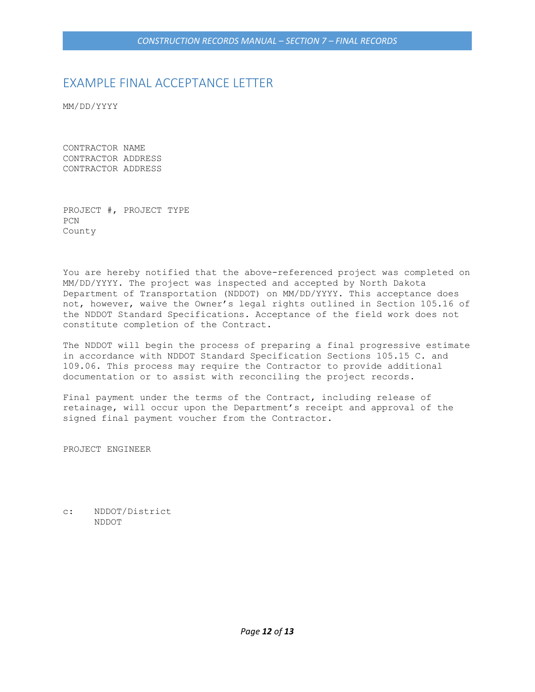## <span id="page-11-0"></span>EXAMPLE FINAL ACCEPTANCE LETTER

MM/DD/YYYY

CONTRACTOR NAME CONTRACTOR ADDRESS CONTRACTOR ADDRESS

PROJECT #, PROJECT TYPE PCN County

You are hereby notified that the above-referenced project was completed on MM/DD/YYYY. The project was inspected and accepted by North Dakota Department of Transportation (NDDOT) on MM/DD/YYYY. This acceptance does not, however, waive the Owner's legal rights outlined in Section 105.16 of the NDDOT Standard Specifications. Acceptance of the field work does not constitute completion of the Contract.

The NDDOT will begin the process of preparing a final progressive estimate in accordance with NDDOT Standard Specification Sections 105.15 C. and 109.06. This process may require the Contractor to provide additional documentation or to assist with reconciling the project records.

Final payment under the terms of the Contract, including release of retainage, will occur upon the Department's receipt and approval of the signed final payment voucher from the Contractor.

PROJECT ENGINEER

c: NDDOT/District NDDOT